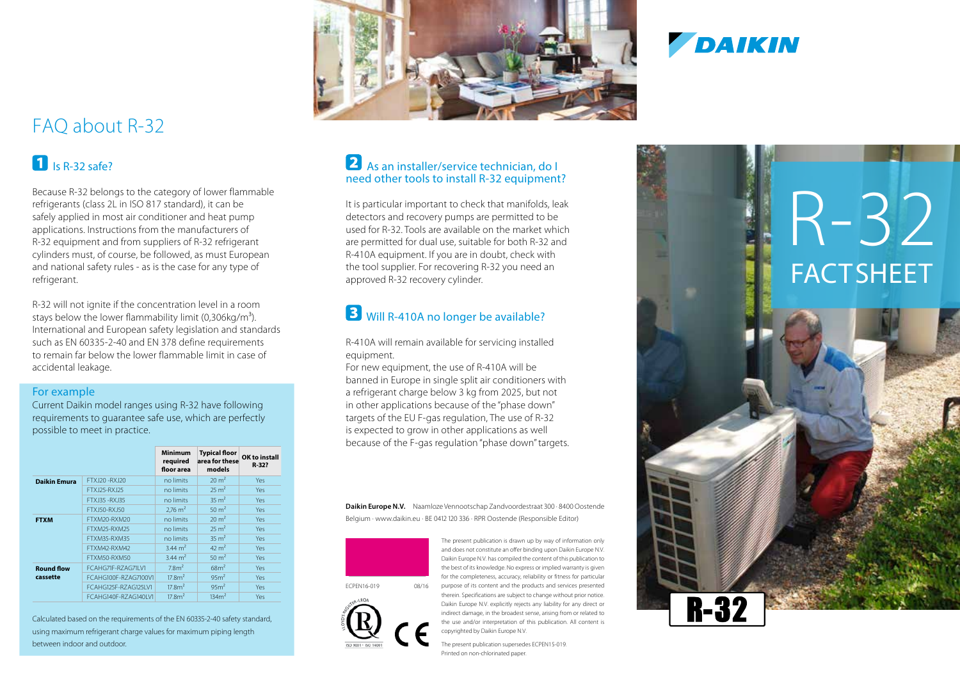## FAQ about R-32

#### $\blacksquare$  Is R-32 safe?

Because R-32 belongs to the category of lower flammable refrigerants (class 2L in ISO 817 standard), it can be safely applied in most air conditioner and heat pump applications. Instructions from the manufacturers of R-32 equipment and from suppliers of R-32 refrigerant cylinders must, of course, be followed, as must European and national safety rules - as is the case for any type of refrigerant.

R-32 will not ignite if the concentration level in a room stays below the lower flammability limit (0,306kg/m<sup>3</sup>). International and European safety legislation and standards such as EN 60335-2-40 and EN 378 define requirements to remain far below the lower flammable limit in case of accidental leakage.

#### For example

Current Daikin model ranges using R-32 have following requirements to guarantee safe use, which are perfectly possible to meet in practice.

|                               |                      | <b>Minimum</b><br>required<br>floor area | <b>Typical floor</b><br>area for these<br>models | OK to install<br>R-32? |
|-------------------------------|----------------------|------------------------------------------|--------------------------------------------------|------------------------|
| <b>Daikin Emura</b>           | FTXJ20-RXJ20         | no limits                                | $20 \text{ m}^2$                                 | Yes                    |
|                               | FTX 125-RX 125       | no limits                                | $25 \text{ m}^2$                                 | Yes.                   |
|                               | FTX 135 - RX 135     | no limits                                | $35 \text{ m}^2$                                 | Yes                    |
|                               | FTXJ50-RXJ50         | $2.76 \text{ m}^2$                       | $50 \text{ m}^2$                                 | Yes.                   |
| <b>FTXM</b>                   | FTXM20-RXM20         | no limits                                | $20 \text{ m}^2$                                 | Yes.                   |
|                               | FTXM25-RXM25         | no limits                                | $25 \text{ m}^2$                                 | Yes                    |
|                               | FTXM35-RXM35         | no limits                                | $35 \text{ m}^2$                                 | Yes.                   |
|                               | FTXM42-RXM42         | 3.44 $m2$                                | $42 \text{ m}^2$                                 | <b>Yes</b>             |
|                               | FTXM50-RXM50         | $3.44 \text{ m}^2$                       | $50 \text{ m}^2$                                 | Yes                    |
| <b>Round flow</b><br>cassette | FCAHG71F-RZAG71IV1   | 7.8 <sup>2</sup>                         | 68m <sup>2</sup>                                 | Yes                    |
|                               | FCAHG100F-RZAG7100V1 | 17.8 <sup>2</sup>                        | 95 <sup>2</sup>                                  | Yes.                   |
|                               | FCAHG125F-RZAG125LV1 | 17.8 <sup>2</sup>                        | 95m <sup>2</sup>                                 | Yes                    |
|                               | FCAHG140F-RZAG140LV1 | 17.8 <sup>2</sup>                        | 134m <sup>2</sup>                                | Yes                    |

Calculated based on the requirements of the EN 60335-2-40 safety standard, using maximum refrigerant charge values for maximum piping length between indoor and outdoor.



# **DAIKIN**

#### As an installer/service technician, do I need other tools to install R-32 equipment?

It is particular important to check that manifolds, leak detectors and recovery pumps are permitted to be used for R-32. Tools are available on the market which are permitted for dual use, suitable for both R-32 and R-410A equipment. If you are in doubt, check with the tool supplier. For recovering R-32 you need an approved R-32 recovery cylinder.

#### **3** Will R-410A no longer be available?

R-410A will remain available for servicing installed equipment.

For new equipment, the use of R-410A will be banned in Europe in single split air conditioners with a refrigerant charge below 3 kg from 2025, but not in other applications because of the "phase down" targets of the EU F-gas regulation, The use of R-32 is expected to grow in other applications as well because of the F-gas regulation "phase down" targets.

**Daikin Europe N.V.** Naamloze Vennootschap Zandvoordestraat 300 · 8400 Oostende Belgium · www.daikin.eu · BE 0412 120 336 · RPR Oostende (Responsible Editor)



The present publication is drawn up by way of information only and does not constitute an offer binding upon Daikin Europe N.V. Daikin Europe N.V. has compiled the content of this publication to the best of its knowledge. No express or implied warranty is given for the completeness, accuracy, reliability or fitness for particular purpose of its content and the products and services presented therein. Specifications are subject to change without prior notice. Daikin Europe N.V. explicitly rejects any liability for any direct or indirect damage, in the broadest sense, arising from or related to the use and/or interpretation of this publication. All content is copyrighted by Daikin Europe N.V.



The present publication supersedes ECPEN15-019. Printed on non-chlorinated paper.